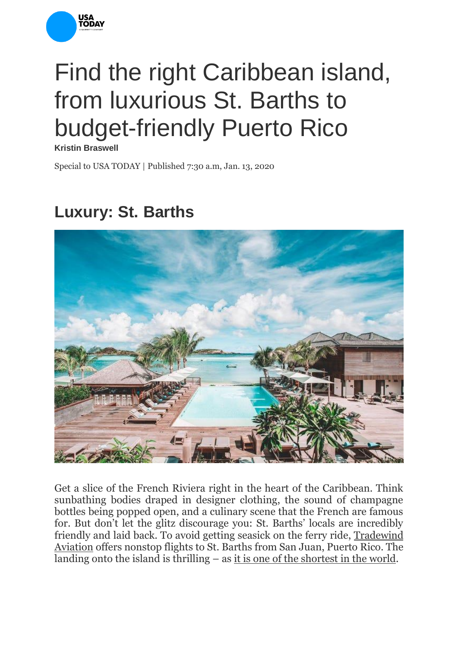

## Find the right Caribbean island, from luxurious St. Barths to budget-friendly Puerto Rico

**Kristin Braswell**

Special to USA TODAY | Published 7:30 a.m, Jan. 13, 2020

## **Luxury: St. Barths**



Get a slice of the French Riviera right in the heart of the Caribbean. Think sunbathing bodies draped in designer clothing, the sound of champagne bottles being popped open, and a culinary scene that the French are famous for. But don't let the glitz discourage you: St. Barths' locals are incredibly friendly and laid back. To avoid getting seasick on the ferry ride, [Tradewind](https://www.flytradewind.com/)  [Aviation](https://www.flytradewind.com/) offers nonstop flights to St. Barths from San Juan, Puerto Rico. The landing onto the island is thrilling – as [it is one of the shortest in the world.](https://www.smartertravel.com/airports-with-craziest-landings-in-the-world/)